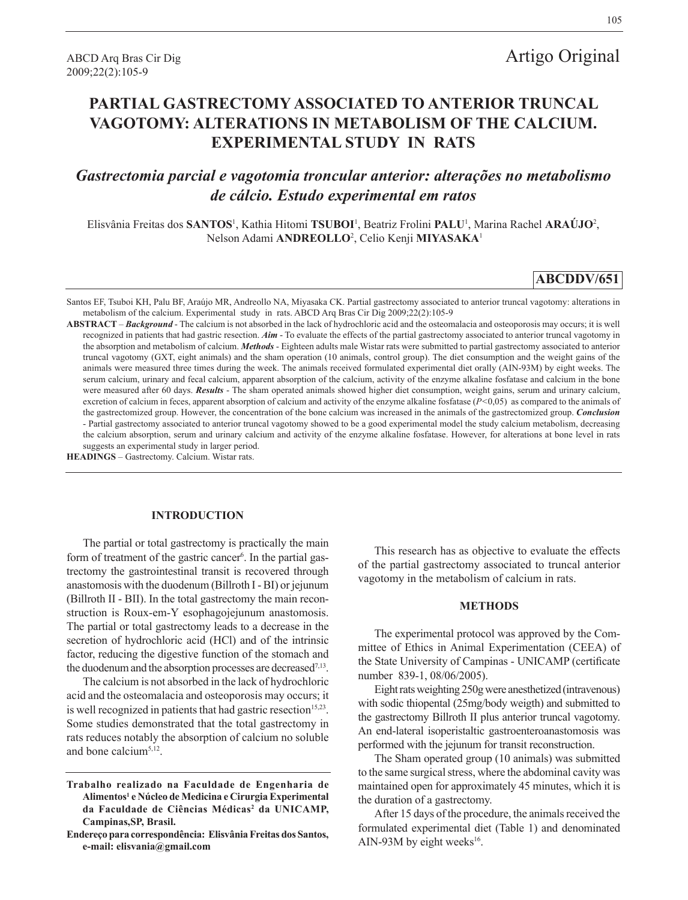# **PARTIAL GASTRECTOMY ASSOCIATED TO ANTERIOR TRUNCAL VAGOTOMY: ALTERATIONS IN METABOLISM OF THE CALCIUM. EXPERIMENTAL STUDY IN RATS**

## *Gastrectomia parcial e vagotomia troncular anterior: alterações no metabolismo de cálcio. Estudo experimental em ratos*

Elisvânia Freitas dos **SANTOS**<sup>1</sup> , Kathia Hitomi **TSUBOI**<sup>1</sup> , Beatriz Frolini **PALU**<sup>1</sup> , Marina Rachel **ARAÚJO**<sup>2</sup> , Nelson Adami **ANDREOLLO**<sup>2</sup> , Celio Kenji **MIYASAKA**<sup>1</sup>

## **ABCDDV/651**

Santos EF, Tsuboi KH, Palu BF, Araújo MR, Andreollo NA, Miyasaka CK. Partial gastrectomy associated to anterior truncal vagotomy: alterations in metabolism of the calcium. Experimental study in rats. ABCD Arq Bras Cir Dig 2009;22(2):105-9

**ABSTRACT** – *Background* - The calcium is not absorbed in the lack of hydrochloric acid and the osteomalacia and osteoporosis may occurs; it is well recognized in patients that had gastric resection. *Aim* - To evaluate the effects of the partial gastrectomy associated to anterior truncal vagotomy in the absorption and metabolism of calcium. *Methods* - Eighteen adults male Wistar rats were submitted to partial gastrectomy associated to anterior truncal vagotomy (GXT, eight animals) and the sham operation (10 animals, control group). The diet consumption and the weight gains of the animals were measured three times during the week. The animals received formulated experimental diet orally (AIN-93M) by eight weeks. The serum calcium, urinary and fecal calcium, apparent absorption of the calcium, activity of the enzyme alkaline fosfatase and calcium in the bone were measured after 60 days. **Results** - The sham operated animals showed higher diet consumption, weight gains, serum and urinary calcium, excretion of calcium in feces, apparent absorption of calcium and activity of the enzyme alkaline fosfatase (*P<*0,05) as compared to the animals of the gastrectomized group. However, the concentration of the bone calcium was increased in the animals of the gastrectomized group. *Conclusion*  - Partial gastrectomy associated to anterior truncal vagotomy showed to be a good experimental model the study calcium metabolism, decreasing the calcium absorption, serum and urinary calcium and activity of the enzyme alkaline fosfatase. However, for alterations at bone level in rats suggests an experimental study in larger period.

**HEADINGS** – Gastrectomy. Calcium. Wistar rats.

#### **INTRODUCTION**

The partial or total gastrectomy is practically the main form of treatment of the gastric cancer<sup>6</sup>. In the partial gastrectomy the gastrointestinal transit is recovered through anastomosis with the duodenum (Billroth I - BI) or jejunum (Billroth II - BII). In the total gastrectomy the main reconstruction is Roux-em-Y esophagojejunum anastomosis. The partial or total gastrectomy leads to a decrease in the secretion of hydrochloric acid (HCl) and of the intrinsic factor, reducing the digestive function of the stomach and the duodenum and the absorption processes are decreased $7,13$ .

The calcium is not absorbed in the lack of hydrochloric acid and the osteomalacia and osteoporosis may occurs; it is well recognized in patients that had gastric resection<sup>15,23</sup>. Some studies demonstrated that the total gastrectomy in rats reduces notably the absorption of calcium no soluble and bone calcium5,12.

This research has as objective to evaluate the effects of the partial gastrectomy associated to truncal anterior vagotomy in the metabolism of calcium in rats.

## **METHODS**

The experimental protocol was approved by the Committee of Ethics in Animal Experimentation (CEEA) of the State University of Campinas - UNICAMP (certificate number 839-1, 08/06/2005).

Eight rats weighting 250g were anesthetized (intravenous) with sodic thiopental (25mg/body weigth) and submitted to the gastrectomy Billroth II plus anterior truncal vagotomy. An end-lateral isoperistaltic gastroenteroanastomosis was performed with the jejunum for transit reconstruction.

The Sham operated group (10 animals) was submitted to the same surgical stress, where the abdominal cavity was maintained open for approximately 45 minutes, which it is the duration of a gastrectomy.

After 15 days of the procedure, the animals received the formulated experimental diet (Table 1) and denominated AIN-93M by eight weeks<sup>16</sup>.

**Trabalho realizado na Faculdade de Engenharia de Alimentos1 e Núcleo de Medicina e Cirurgia Experimental da Faculdade de Ciências Médicas2 da UNICAMP, Campinas,SP, Brasil.** 

**Endereço para correspondência: Elisvânia Freitas dos Santos, e-mail: elisvania@gmail.com**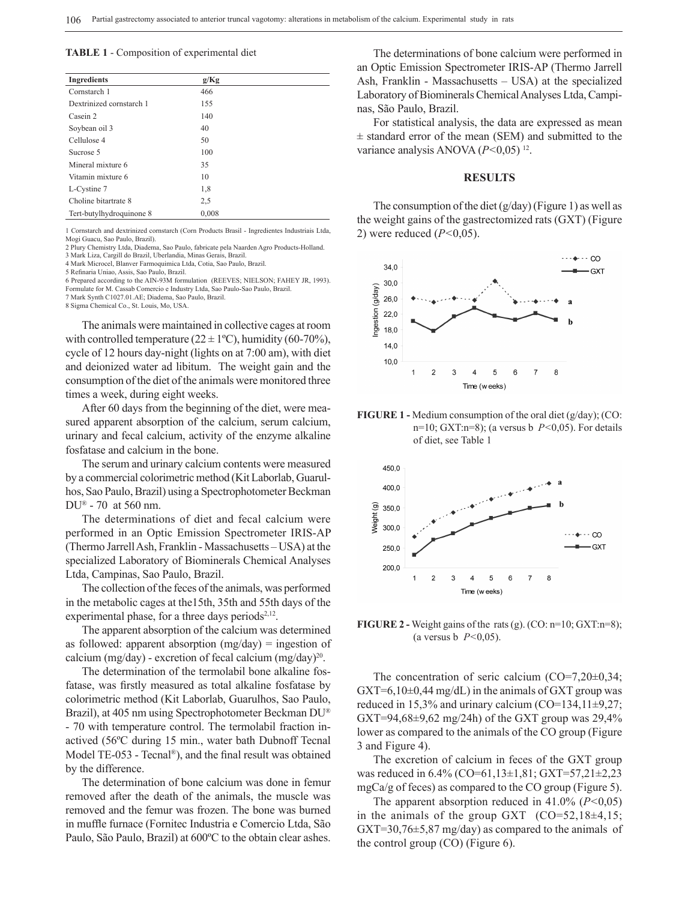#### **TABLE 1** - Composition of experimental diet

| <b>Ingredients</b>       | g/Kg  |  |
|--------------------------|-------|--|
| Cornstarch 1             | 466   |  |
| Dextrinized cornstarch 1 | 155   |  |
| Casein 2                 | 140   |  |
| Soybean oil 3            | 40    |  |
| Cellulose 4              | 50    |  |
| Sucrose 5                | 100   |  |
| Mineral mixture 6        | 35    |  |
| Vitamin mixture 6        | 10    |  |
| L-Cystine 7              | 1,8   |  |
| Choline bitartrate 8     | 2.5   |  |
| Tert-butylhydroquinone 8 | 0.008 |  |

1 Cornstarch and dextrinized cornstarch (Corn Products Brasil - Ingredientes Industriais Ltda, Mogi Guacu, Sao Paulo, Brazil).

2 Plury Chemistry Ltda, Diadema, Sao Paulo, fabricate pela Naarden Agro Products-Holland. 3 Mark Liza, Cargill do Brazil, Uberlandia, Minas Gerais, Brazil.

4 Mark Microcel, Blanver Farmoquimica Ltda, Cotia, Sao Paulo, Brazil.

5 Refinaria Uniao, Assis, Sao Paulo, Brazil.

6 Prepared according to the AIN-93M formulation (REEVES; NIELSON; FAHEY JR, 1993). Formulate for M. Cassab Comercio e Industry Ltda, Sao Paulo-Sao Paulo, Brazil. 7 Mark Synth C1027.01.AE; Diadema, Sao Paulo, Brazil.

8 Sigma Chemical Co., St. Louis, Mo, USA.

The animals were maintained in collective cages at room with controlled temperature ( $22 \pm 1$ °C), humidity (60-70%), cycle of 12 hours day-night (lights on at 7:00 am), with diet and deionized water ad libitum. The weight gain and the consumption of the diet of the animals were monitored three times a week, during eight weeks.

After 60 days from the beginning of the diet, were measured apparent absorption of the calcium, serum calcium, urinary and fecal calcium, activity of the enzyme alkaline fosfatase and calcium in the bone.

The serum and urinary calcium contents were measured by a commercial colorimetric method (Kit Laborlab, Guarulhos, Sao Paulo, Brazil) using a Spectrophotometer Beckman DU® - 70 at 560 nm.

The determinations of diet and fecal calcium were performed in an Optic Emission Spectrometer IRIS-AP (Thermo Jarrell Ash, Franklin - Massachusetts – USA) at the specialized Laboratory of Biominerals Chemical Analyses Ltda, Campinas, Sao Paulo, Brazil.

The collection of the feces of the animals, was performed in the metabolic cages at the15th, 35th and 55th days of the experimental phase, for a three days periods $2,12$ .

The apparent absorption of the calcium was determined as followed: apparent absorption  $(mg/day)$  = ingestion of calcium (mg/day) - excretion of fecal calcium (mg/day)<sup>20</sup>.

The determination of the termolabil bone alkaline fosfatase, was firstly measured as total alkaline fosfatase by colorimetric method (Kit Laborlab, Guarulhos, Sao Paulo, Brazil), at 405 nm using Spectrophotometer Beckman DU® - 70 with temperature control. The termolabil fraction inactived (56ºC during 15 min., water bath Dubnoff Tecnal Model TE-053 - Tecnal®), and the final result was obtained by the difference.

The determination of bone calcium was done in femur removed after the death of the animals, the muscle was removed and the femur was frozen. The bone was burned in muffle furnace (Fornitec Industria e Comercio Ltda, São Paulo, São Paulo, Brazil) at 600ºC to the obtain clear ashes.

The determinations of bone calcium were performed in an Optic Emission Spectrometer IRIS-AP (Thermo Jarrell Ash, Franklin - Massachusetts – USA) at the specialized Laboratory of Biominerals Chemical Analyses Ltda, Campinas, São Paulo, Brazil.

For statistical analysis, the data are expressed as mean  $\pm$  standard error of the mean (SEM) and submitted to the variance analysis ANOVA (*P<*0,05) <sup>12</sup>.

#### **RESULTS**

The consumption of the diet  $(g/day)$  (Figure 1) as well as the weight gains of the gastrectomized rats (GXT) (Figure 2) were reduced (*P<*0,05).







**FIGURE 2 -** Weight gains of the rats (g). (CO: n=10; GXT:n=8); (a versus b *P<*0,05).

The concentration of seric calcium (CO=7,20±0,34;  $GXT=6,10\pm0,44$  mg/dL) in the animals of GXT group was reduced in 15,3% and urinary calcium  $(CO=134,11\pm9,27;$ GXT=94,68 $\pm$ 9,62 mg/24h) of the GXT group was 29,4% lower as compared to the animals of the CO group (Figure 3 and Figure 4).

The excretion of calcium in feces of the GXT group was reduced in 6.4% (CO=61,13±1,81; GXT=57,21±2,23 mgCa/g of feces) as compared to the CO group (Figure 5).

The apparent absorption reduced in 41.0% (*P<*0,05) in the animals of the group GXT  $(CO=52,18\pm4,15;$ GXT=30,76±5,87 mg/day) as compared to the animals of the control group (CO) (Figure 6).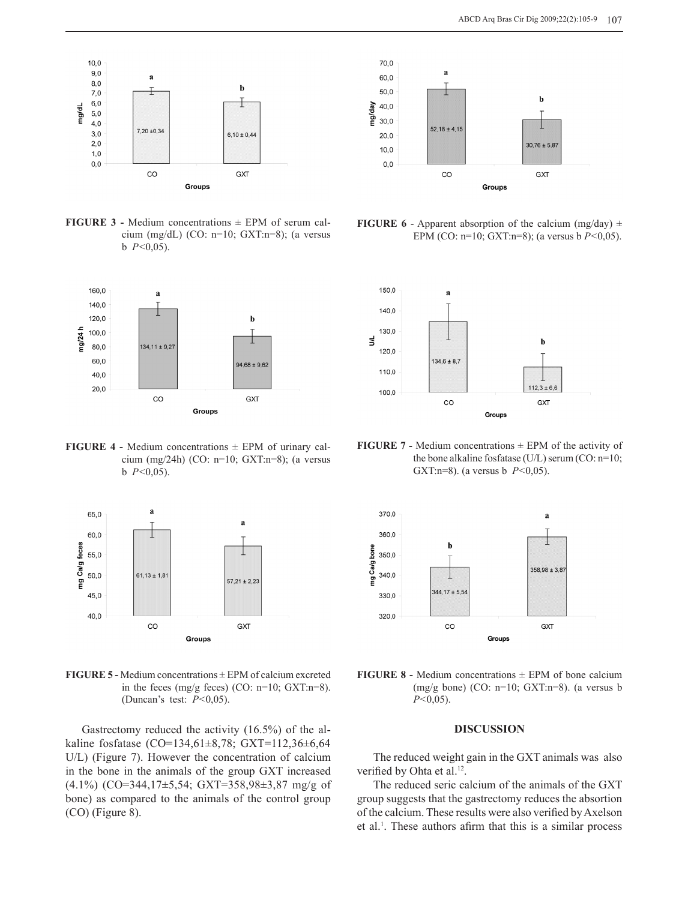

**FIGURE 3 - Medium concentrations**  $\pm$  **EPM of serum cal**cium (mg/dL) (CO: n=10; GXT:n=8); (a versus b *P<*0,05).



**FIGURE 4 - Medium concentrations**  $\pm$  **EPM of urinary cal**cium (mg/24h) (CO: n=10; GXT:n=8); (a versus b *P<*0,05).



**FIGURE 5 -** Medium concentrations ± EPM of calcium excreted in the feces (mg/g feces) (CO:  $n=10$ ; GXT: $n=8$ ). (Duncan's test: *P<*0,05).

Gastrectomy reduced the activity (16.5%) of the alkaline fosfatase (CO=134,61±8,78; GXT=112,36±6,64 U/L) (Figure 7). However the concentration of calcium in the bone in the animals of the group GXT increased (4.1%) (CO=344,17±5,54; GXT=358,98±3,87 mg/g of bone) as compared to the animals of the control group (CO) (Figure 8).



**FIGURE 6** - Apparent absorption of the calcium (mg/day)  $\pm$ EPM (CO: n=10; GXT:n=8); (a versus b *P<*0,05).



**FIGURE 7 - Medium concentrations**  $\pm$  **EPM of the activity of** the bone alkaline fosfatase (U/L) serum (CO: n=10; GXT:n=8). (a versus b *P<*0,05).



**FIGURE 8 -** Medium concentrations  $\pm$  EPM of bone calcium  $(mg/g \text{ bone})$  (CO: n=10; GXT:n=8). (a versus b *P<*0,05).

### **DISCUSSION**

The reduced weight gain in the GXT animals was also verified by Ohta et al.<sup>12</sup>.

The reduced seric calcium of the animals of the GXT group suggests that the gastrectomy reduces the absortion of the calcium. These results were also verified by Axelson et al.<sup>1</sup>. These authors afirm that this is a similar process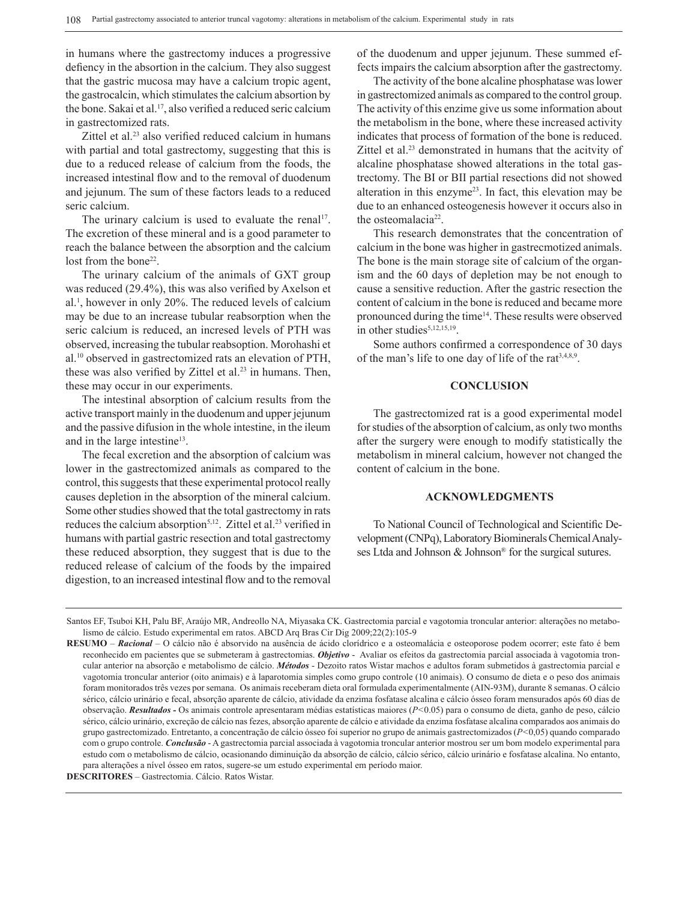in humans where the gastrectomy induces a progressive defiency in the absortion in the calcium. They also suggest that the gastric mucosa may have a calcium tropic agent, the gastrocalcin, which stimulates the calcium absortion by the bone. Sakai et al.<sup>17</sup>, also verified a reduced seric calcium in gastrectomized rats.

Zittel et al.<sup>23</sup> also verified reduced calcium in humans with partial and total gastrectomy, suggesting that this is due to a reduced release of calcium from the foods, the increased intestinal flow and to the removal of duodenum and jejunum. The sum of these factors leads to a reduced seric calcium.

The urinary calcium is used to evaluate the renal<sup>17</sup>. The excretion of these mineral and is a good parameter to reach the balance between the absorption and the calcium lost from the bone<sup>22</sup>.

The urinary calcium of the animals of GXT group was reduced (29.4%), this was also verified by Axelson et al.<sup>1</sup> , however in only 20%. The reduced levels of calcium may be due to an increase tubular reabsorption when the seric calcium is reduced, an incresed levels of PTH was observed, increasing the tubular reabsoption. Morohashi et al.<sup>10</sup> observed in gastrectomized rats an elevation of PTH, these was also verified by Zittel et al.<sup>23</sup> in humans. Then, these may occur in our experiments.

The intestinal absorption of calcium results from the active transport mainly in the duodenum and upper jejunum and the passive difusion in the whole intestine, in the ileum and in the large intestine<sup>13</sup>.

The fecal excretion and the absorption of calcium was lower in the gastrectomized animals as compared to the control, this suggests that these experimental protocol really causes depletion in the absorption of the mineral calcium. Some other studies showed that the total gastrectomy in rats reduces the calcium absorption<sup>5,12</sup>. Zittel et al.<sup>23</sup> verified in humans with partial gastric resection and total gastrectomy these reduced absorption, they suggest that is due to the reduced release of calcium of the foods by the impaired digestion, to an increased intestinal flow and to the removal

of the duodenum and upper jejunum. These summed effects impairs the calcium absorption after the gastrectomy.

The activity of the bone alcaline phosphatase was lower in gastrectomized animals as compared to the control group. The activity of this enzime give us some information about the metabolism in the bone, where these increased activity indicates that process of formation of the bone is reduced. Zittel et al.<sup>23</sup> demonstrated in humans that the acityity of alcaline phosphatase showed alterations in the total gastrectomy. The BI or BII partial resections did not showed alteration in this enzyme<sup>23</sup>. In fact, this elevation may be due to an enhanced osteogenesis however it occurs also in the osteomalacia<sup>22</sup>.

This research demonstrates that the concentration of calcium in the bone was higher in gastrecmotized animals. The bone is the main storage site of calcium of the organism and the 60 days of depletion may be not enough to cause a sensitive reduction. After the gastric resection the content of calcium in the bone is reduced and became more pronounced during the time<sup>14</sup>. These results were observed in other studies<sup>5,12,15,19</sup>.

Some authors confirmed a correspondence of 30 days of the man's life to one day of life of the rat $3,4,8,9$ .

### **CONCLUSION**

The gastrectomized rat is a good experimental model for studies of the absorption of calcium, as only two months after the surgery were enough to modify statistically the metabolism in mineral calcium, however not changed the content of calcium in the bone.

## **ACKNOWLEDGMENTS**

To National Council of Technological and Scientific Development (CNPq), Laboratory Biominerals Chemical Analyses Ltda and Johnson & Johnson® for the surgical sutures.

Santos EF, Tsuboi KH, Palu BF, Araújo MR, Andreollo NA, Miyasaka CK. Gastrectomia parcial e vagotomia troncular anterior: alterações no metabolismo de cálcio. Estudo experimental em ratos. ABCD Arq Bras Cir Dig 2009;22(2):105-9

**RESUMO** – *Racional* – O cálcio não é absorvido na ausência de ácido clorídrico e a osteomalácia e osteoporose podem ocorrer; este fato é bem reconhecido em pacientes que se submeteram à gastrectomias. *Objetivo* - Avaliar os efeitos da gastrectomia parcial associada à vagotomia troncular anterior na absorção e metabolismo de cálcio. *Métodos* - Dezoito ratos Wistar machos e adultos foram submetidos à gastrectomia parcial e vagotomia troncular anterior (oito animais) e à laparotomia simples como grupo controle (10 animais). O consumo de dieta e o peso dos animais foram monitorados três vezes por semana. Os animais receberam dieta oral formulada experimentalmente (AIN-93M), durante 8 semanas. O cálcio sérico, cálcio urinário e fecal, absorção aparente de cálcio, atividade da enzima fosfatase alcalina e cálcio ósseo foram mensurados após 60 dias de observação. *Resultados -* Os animais controle apresentaram médias estatísticas maiores (*P<*0.05) para o consumo de dieta, ganho de peso, cálcio sérico, cálcio urinário, excreção de cálcio nas fezes, absorção aparente de cálcio e atividade da enzima fosfatase alcalina comparados aos animais do grupo gastrectomizado. Entretanto, a concentração de cálcio ósseo foi superior no grupo de animais gastrectomizados (*P<*0,05) quando comparado com o grupo controle. *Conclusão* - A gastrectomia parcial associada à vagotomia troncular anterior mostrou ser um bom modelo experimental para estudo com o metabolismo de cálcio, ocasionando diminuição da absorção de cálcio, cálcio sérico, cálcio urinário e fosfatase alcalina. No entanto, para alterações a nível ósseo em ratos, sugere-se um estudo experimental em período maior.

**DESCRITORES** – Gastrectomia. Cálcio. Ratos Wistar.